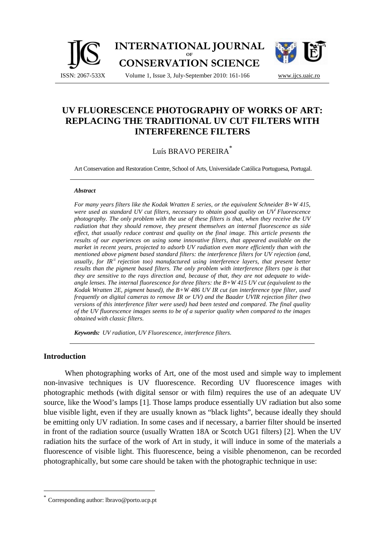

# **UV FLUORESCENCE PHOTOGRAPHY OF WORKS OF ART: REPLACING THE TRADITIONAL UV CUT FILTERS WITH INTERFERENCE FILTERS**

## Luís BRAVO PEREIRA<sup>\*</sup>

Art Conservation and Restoration Centre, School of Arts, Universidade Católica Portuguesa, Portugal.

#### *Abstract*

*For many years filters like the Kodak Wratten E series, or the equivalent Schneider B+W 415, were used as standard UV cut filters, necessary to obtain good quality on UV<sup>i</sup> Fluorescence photography. The only problem with the use of these filters is that, when they receive the UV radiation that they should remove, they present themselves an internal fluorescence as side effect, that usually reduce contrast and quality on the final image. This article presents the results of our experiences on using some innovative filters, that appeared available on the market in recent years, projected to adsorb UV radiation even more efficiently than with the mentioned above pigment based standard filters: the interference filters for UV rejection (and, usually, for IRii rejection too) manufactured using interference layers, that present better results than the pigment based filters. The only problem with interference filters type is that they are sensitive to the rays direction and, because of that, they are not adequate to wideangle lenses. The internal fluorescence for three filters: the B+W 415 UV cut (equivalent to the Kodak Wratten 2E, pigment based), the B+W 486 UV IR cut (an interference type filter, used frequently on digital cameras to remove IR or UV) and the Baader UVIR rejection filter (two versions of this interference filter were used) had been tested and compared. The final quality of the UV fluorescence images seems to be of a superior quality when compared to the images obtained with classic filters.* 

*Keywords: UV radiation, UV Fluorescence, interference filters.* 

## **Introduction**

 $\overline{a}$ 

When photographing works of Art, one of the most used and simple way to implement non-invasive techniques is UV fluorescence. Recording UV fluorescence images with photographic methods (with digital sensor or with film) requires the use of an adequate UV source, like the Wood's lamps [1]. Those lamps produce essentially UV radiation but also some blue visible light, even if they are usually known as "black lights", because ideally they should be emitting only UV radiation. In some cases and if necessary, a barrier filter should be inserted in front of the radiation source (usually Wratten 18A or Scotch UG1 filters) [2]. When the UV radiation hits the surface of the work of Art in study, it will induce in some of the materials a fluorescence of visible light. This fluorescence, being a visible phenomenon, can be recorded photographically, but some care should be taken with the photographic technique in use:

Corresponding author: lbravo@porto.ucp.pt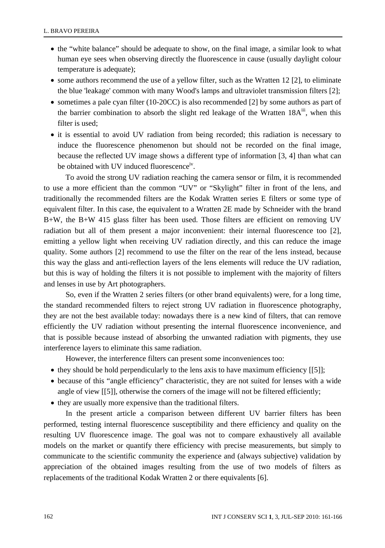- the "white balance" should be adequate to show, on the final image, a similar look to what human eye sees when observing directly the fluorescence in cause (usually daylight colour temperature is adequate);
- some authors recommend the use of a yellow filter, such as the Wratten 12 [2], to eliminate the blue 'leakage' common with many Wood's lamps and ultraviolet transmission filters [2];
- sometimes a pale cyan filter (10-20CC) is also recommended [2] by some authors as part of the barrier combination to absorb the slight red leakage of the Wratten 18A<sup>iii</sup>, when this filter is used;
- it is essential to avoid UV radiation from being recorded; this radiation is necessary to induce the fluorescence phenomenon but should not be recorded on the final image, because the reflected UV image shows a different type of information [3, 4] than what can be obtained with UV induced fluorescence<sup>iv</sup>.

 To avoid the strong UV radiation reaching the camera sensor or film, it is recommended to use a more efficient than the common "UV" or "Skylight" filter in front of the lens, and traditionally the recommended filters are the Kodak Wratten series E filters or some type of equivalent filter. In this case, the equivalent to a Wratten 2E made by Schneider with the brand B+W, the B+W 415 glass filter has been used. Those filters are efficient on removing UV radiation but all of them present a major inconvenient: their internal fluorescence too [2], emitting a yellow light when receiving UV radiation directly, and this can reduce the image quality. Some authors [2] recommend to use the filter on the rear of the lens instead, because this way the glass and anti-reflection layers of the lens elements will reduce the UV radiation, but this is way of holding the filters it is not possible to implement with the majority of filters and lenses in use by Art photographers.

 So, even if the Wratten 2 series filters (or other brand equivalents) were, for a long time, the standard recommended filters to reject strong UV radiation in fluorescence photography, they are not the best available today: nowadays there is a new kind of filters, that can remove efficiently the UV radiation without presenting the internal fluorescence inconvenience, and that is possible because instead of absorbing the unwanted radiation with pigments, they use interference layers to eliminate this same radiation.

However, the interference filters can present some inconveniences too:

- they should be hold perpendicularly to the lens axis to have maximum efficiency [[5]];
- because of this "angle efficiency" characteristic, they are not suited for lenses with a wide angle of view [[5]], otherwise the corners of the image will not be filtered efficiently;
- they are usually more expensive than the traditional filters.

 In the present article a comparison between different UV barrier filters has been performed, testing internal fluorescence susceptibility and there efficiency and quality on the resulting UV fluorescence image. The goal was not to compare exhaustively all available models on the market or quantify there efficiency with precise measurements, but simply to communicate to the scientific community the experience and (always subjective) validation by appreciation of the obtained images resulting from the use of two models of filters as replacements of the traditional Kodak Wratten 2 or there equivalents [6].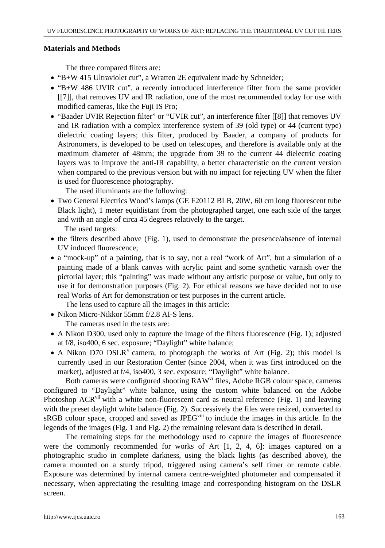## **Materials and Methods**

The three compared filters are:

- "B+W 415 Ultraviolet cut", a Wratten 2E equivalent made by Schneider;
- "B+W 486 UVIR cut", a recently introduced interference filter from the same provider [[7]], that removes UV and IR radiation, one of the most recommended today for use with modified cameras, like the Fuji IS Pro;
- "Baader UVIR Rejection filter" or "UVIR cut", an interference filter [[8]] that removes UV and IR radiation with a complex interference system of 39 (old type) or 44 (current type) dielectric coating layers; this filter, produced by Baader, a company of products for Astronomers, is developed to be used on telescopes, and therefore is available only at the maximum diameter of 48mm; the upgrade from 39 to the current 44 dielectric coating layers was to improve the anti-IR capability, a better characteristic on the current version when compared to the previous version but with no impact for rejecting UV when the filter is used for fluorescence photography.

The used illuminants are the following:

• Two General Electrics Wood's lamps (GE F20112 BLB, 20W, 60 cm long fluorescent tube Black light), 1 meter equidistant from the photographed target, one each side of the target and with an angle of circa 45 degrees relatively to the target.

The used targets:

- the filters described above (Fig. 1), used to demonstrate the presence/absence of internal UV induced fluorescence;
- a "mock-up" of a painting, that is to say, not a real "work of Art", but a simulation of a painting made of a blank canvas with acrylic paint and some synthetic varnish over the pictorial layer; this "painting" was made without any artistic purpose or value, but only to use it for demonstration purposes (Fig. 2). For ethical reasons we have decided not to use real Works of Art for demonstration or test purposes in the current article.

The lens used to capture all the images in this article:

• Nikon Micro-Nikkor 55mm f/2.8 AI-S lens.

The cameras used in the tests are:

- A Nikon D300, used only to capture the image of the filters fluorescence (Fig. 1); adjusted at f/8, iso400, 6 sec. exposure; "Daylight" white balance;
- A Nikon D70 DSLR<sup>V</sup> camera, to photograph the works of Art (Fig. 2); this model is currently used in our Restoration Center (since 2004, when it was first introduced on the market), adjusted at f/4, iso400, 3 sec. exposure; "Daylight" white balance.

Both cameras were configured shooting RAW<sup>vi</sup> files, Adobe RGB colour space, cameras configured to "Daylight" white balance, using the custom white balanced on the Adobe Photoshop ACR<sup>vii</sup> with a white non-fluorescent card as neutral reference (Fig. 1) and leaving with the preset daylight white balance (Fig. 2). Successively the files were resized, converted to sRGB colour space, cropped and saved as JPEG<sup>viii</sup> to include the images in this article. In the legends of the images (Fig. 1 and Fig. 2) the remaining relevant data is described in detail.

 The remaining steps for the methodology used to capture the images of fluorescence were the commonly recommended for works of Art [1, 2, 4, 6]: images captured on a photographic studio in complete darkness, using the black lights (as described above), the camera mounted on a sturdy tripod, triggered using camera's self timer or remote cable. Exposure was determined by internal camera centre-weighted photometer and compensated if necessary, when appreciating the resulting image and corresponding histogram on the DSLR screen.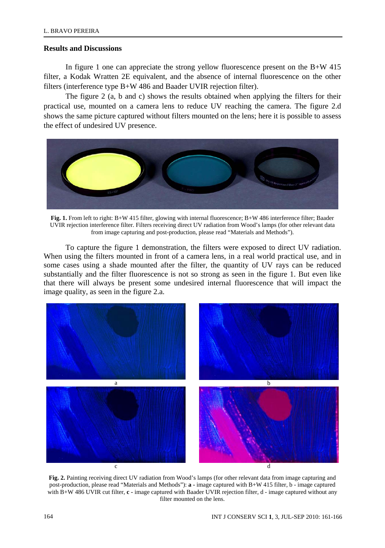#### **Results and Discussions**

In figure 1 one can appreciate the strong yellow fluorescence present on the  $B+W 415$ filter, a Kodak Wratten 2E equivalent, and the absence of internal fluorescence on the other filters (interference type B+W 486 and Baader UVIR rejection filter).

 The figure 2 (a, b and c) shows the results obtained when applying the filters for their practical use, mounted on a camera lens to reduce UV reaching the camera. The figure 2.d shows the same picture captured without filters mounted on the lens; here it is possible to assess the effect of undesired UV presence.



**Fig. 1.** From left to right: B+W 415 filter, glowing with internal fluorescence; B+W 486 interference filter; Baader UVIR rejection interference filter. Filters receiving direct UV radiation from Wood's lamps (for other relevant data from image capturing and post-production, please read "Materials and Methods").

 To capture the figure 1 demonstration, the filters were exposed to direct UV radiation. When using the filters mounted in front of a camera lens, in a real world practical use, and in some cases using a shade mounted after the filter, the quantity of UV rays can be reduced substantially and the filter fluorescence is not so strong as seen in the figure 1. But even like that there will always be present some undesired internal fluorescence that will impact the image quality, as seen in the figure 2.a.



**Fig. 2.** Painting receiving direct UV radiation from Wood's lamps (for other relevant data from image capturing and post-production, please read "Materials and Methods"): **a -** image captured with B+W 415 filter, b - image captured with B+W 486 UVIR cut filter,  $c$  - image captured with Baader UVIR rejection filter, d - image captured without any filter mounted on the lens.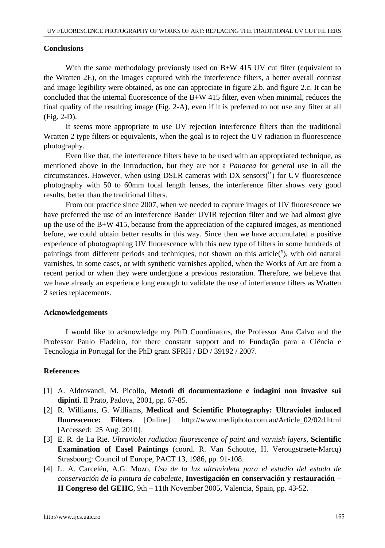#### **Conclusions**

With the same methodology previously used on  $B+W$  415 UV cut filter (equivalent to the Wratten 2E), on the images captured with the interference filters, a better overall contrast and image legibility were obtained, as one can appreciate in figure 2.b. and figure 2.c. It can be concluded that the internal fluorescence of the  $B+W 415$  filter, even when minimal, reduces the final quality of the resulting image (Fig. 2-A), even if it is preferred to not use any filter at all (Fig. 2-D).

 It seems more appropriate to use UV rejection interference filters than the traditional Wratten 2 type filters or equivalents, when the goal is to reject the UV radiation in fluorescence photography.

 Even like that, the interference filters have to be used with an appropriated technique, as mentioned above in the Introduction, but they are not a *Panacea* for general use in all the circumstances. However, when using DSLR cameras with DX sensors( $\alpha$ ) for UV fluorescence photography with 50 to 60mm focal length lenses, the interference filter shows very good results, better than the traditional filters.

 From our practice since 2007, when we needed to capture images of UV fluorescence we have preferred the use of an interference Baader UVIR rejection filter and we had almost give up the use of the B+W 415, because from the appreciation of the captured images, as mentioned before, we could obtain better results in this way. Since then we have accumulated a positive experience of photographing UV fluorescence with this new type of filters in some hundreds of paintings from different periods and techniques, not shown on this article $(\lambda)$ , with old natural varnishes, in some cases, or with synthetic varnishes applied, when the Works of Art are from a recent period or when they were undergone a previous restoration. Therefore, we believe that we have already an experience long enough to validate the use of interference filters as Wratten 2 series replacements.

#### **Acknowledgements**

 I would like to acknowledge my PhD Coordinators, the Professor Ana Calvo and the Professor Paulo Fiadeiro, for there constant support and to Fundação para a Ciência e Tecnologia in Portugal for the PhD grant SFRH / BD / 39192 / 2007.

## **References**

- [1] A. Aldrovandi, M. Picollo, **Metodi di documentazione e indagini non invasive sui dipinti**. Il Prato, Padova, 2001, pp. 67-85.
- [2] R. Williams, G. Williams, **Medical and Scientific Photography: Ultraviolet induced fluorescence: Filters**. [Online]. http://www.mediphoto.com.au/Article\_02/02d.html [Accessed: 25 Aug. 2010].
- [3] E. R. de La Rie. *Ultraviolet radiation fluorescence of paint and varnish layers*, **Scientific Examination of Easel Paintings** (coord. R. Van Schoutte, H. Verougstraete-Marcq) Strasbourg: Council of Europe, PACT 13, 1986, pp. 91-108.
- [4] L. A. Carcelén, A.G. Mozo, *Uso de la luz ultravioleta para el estudio del estado de conservación de la pintura de cabalette*, **Investigación en conservación y restauración – II Congreso del GEIIC**, 9th – 11th November 2005, Valencia, Spain, pp. 43-52.